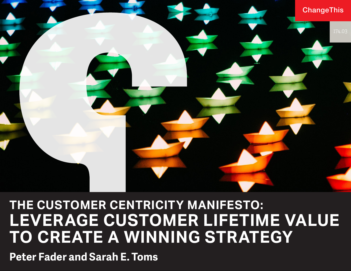

## **THE CUSTOMER CENTRICITY MANIFESTO: LEVERAGE CUSTOMER LIFETIME VALUE TO CREATE A WINNING STRATEGY**

**Peter Fader and Sarah E. Toms**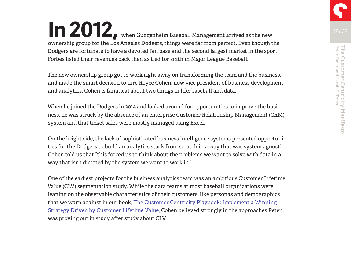**In 2012,** when Guggenheim Baseball Management arrived as the new ownership group for the Los Angeles Dodgers, things were far from perfect. Even though the Dodgers are fortunate to have a devoted fan base and the second largest market in the sport, Forbes listed their revenues back then as tied for sixth in Major League Baseball.

The new ownership group got to work right away on transforming the team and the business, and made the smart decision to hire Royce Cohen, now vice president of business development and analytics. Cohen is fanatical about two things in life: baseball and data.

When he joined the Dodgers in 2014 and looked around for opportunities to improve the business, he was struck by the absence of an enterprise Customer Relationship Management (CRM) system and that ticket sales were mostly managed using Excel.

On the bright side, the lack of sophisticated business intelligence systems presented opportunities for the Dodgers to build an analytics stack from scratch in a way that was system agnostic. Cohen told us that "this forced us to think about the problems we want to solve with data in a way that isn't dictated by the system we want to work in."

One of the earliest projects for the business analytics team was an ambitious Customer Lifetime Value (CLV) segmentation study. While the data teams at most baseball organizations were leaning on the observable characteristics of their customers, like personas and demographics that we warn against in our book, [The Customer Centricity Playbook: Implement a Winning](https://wdp.wharton.upenn.edu/book/customer-centricity-playbook/?&utm_medium=referral&utm_source=ChangeThis&utm_campaign=customer-centricity-playbook )  [Strategy Driven by Customer Lifetime Value](https://wdp.wharton.upenn.edu/book/customer-centricity-playbook/?&utm_medium=referral&utm_source=ChangeThis&utm_campaign=customer-centricity-playbook ), Cohen believed strongly in the approaches Peter was proving out in study after study about CLV.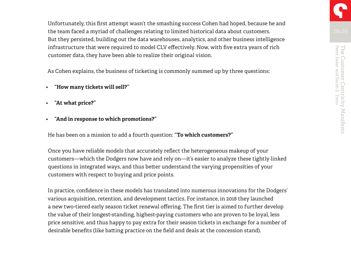Unfortunately, this first attempt wasn't the smashing success Cohen had hoped, because he and the team faced a myriad of challenges relating to limited historical data about customers. But they persisted, building out the data warehouses, analytics, and other business intelligence infrastructure that were required to model CLV effectively. Now, with five extra years of rich customer data, they have been able to realize their original vision.

As Cohen explains, the business of ticketing is commonly summed up by three questions:

- **"How many tickets will sell?"**
- **"At what price?"**
- **"And in response to which promotions?"**

He has been on a mission to add a fourth question: **"To which customers?"**

Once you have reliable models that accurately reflect the heterogeneous makeup of your customers—which the Dodgers now have and rely on—it's easier to analyze these tightly linked questions in integrated ways, and thus better understand the varying propensities of your customers with respect to buying and price points.

In practice, confidence in these models has translated into numerous innovations for the Dodgers' various acquisition, retention, and development tactics. For instance, in 2018 they launched a new two-tiered early season ticket renewal offering. The first tier is aimed to further develop the value of their longest-standing, highest-paying customers who are proven to be loyal, less price sensitive, and thus happy to pay extra for their season tickets in exchange for a number of desirable benefits (like batting practice on the field and deals at the concession stand).

Peter Fader and Sarah E. Toms The Customer Centricity Manifesto

The Customer Centricity Manifesto<br>Peter Fader and Sarah E. Toms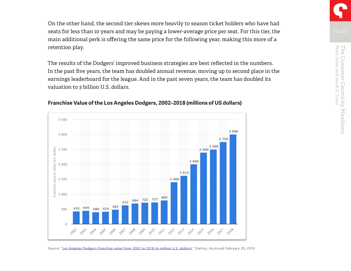On the other hand, the second tier skews more heavily to season ticket holders who have had seats for less than 10 years and may be paying a lower-average price per seat. For this tier, the main additional perk is offering the same price for the following year, making this more of a retention play.

The results of the Dodgers' improved business strategies are best reflected in the numbers. In the past five years, the team has doubled annual revenue, moving up to second place in the earnings leaderboard for the league. And in the past seven years, the team has doubled its valuation to 3 billion U.S. dollars.



#### **Franchise Value of the Los Angeles Dodgers, 2002–2018 (millions of US dollars)**

Source[: "Los Angeles Dodgers franchise value from 2002 to 2018 \(in million U.S. dollars\),"](https://www.statista.com/statistics/194621/mlb-franchise-value-of-the-los-angeles-dodgers-since-2006/) Statista, Accessed February 20, 2019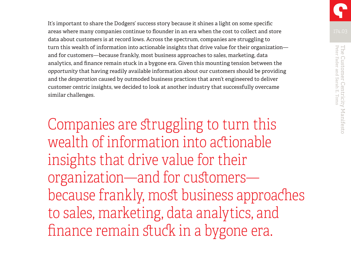It's important to share the Dodgers' success story because it shines a light on some specific areas where many companies continue to flounder in an era when the cost to collect and store data about customers is at record lows. Across the spectrum, companies are struggling to turn this wealth of information into actionable insights that drive value for their organization and for customers—because frankly, most business approaches to sales, marketing, data analytics, and finance remain stuck in a bygone era. Given this mounting tension between the *opportunity* that having readily available information about our customers should be providing and the *desperation* caused by outmoded business practices that aren't engineered to deliver customer centric insights, we decided to look at another industry that successfully overcame similar challenges.

Companies are struggling to turn this wealth of information into actionable insights that drive value for their organization—and for customers because frankly, most business approaches to sales, marketing, data analytics, and finance remain stuck in a bygone era.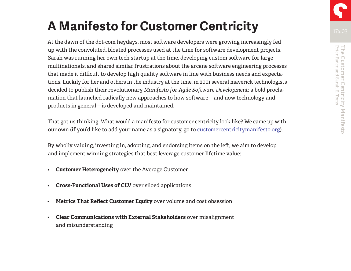At the dawn of the dot-com heydays, most software developers were growing increasingly fed up with the convoluted, bloated processes used at the time for software development projects. Sarah was running her own tech startup at the time, developing custom software for large multinationals, and shared similar frustrations about the arcane software engineering processes that made it difficult to develop high quality software in line with business needs and expectations. Luckily for her and others in the industry at the time, in 2001 several maverick technologists decided to publish their revolutionary *Manifesto for Agile Software Development*: a bold proclamation that launched radically new approaches to how software—and now technology and products in general—is developed and maintained.

That got us thinking: What would a manifesto for customer centricity look like? We came up with our own (if you'd like to add your name as a signatory, go to [customercentricitymanifesto.org\)](http://customercentricitymanifesto.org/).

By wholly valuing, investing in, adopting, and endorsing items on the left, we aim to develop and implement winning strategies that best leverage customer lifetime value:

- **Customer Heterogeneity** over the Average Customer
- **Cross-Functional Uses of CLV** over siloed applications
- **Metrics That Reflect Customer Equity** over volume and cost obsession
- **Clear Communications with External Stakeholders** over misalignment and misunderstanding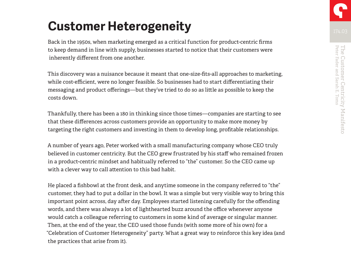## **Customer Heterogeneity**

Back in the 1950s, when marketing emerged as a critical function for product-centric firms to keep demand in line with supply, businesses started to notice that their customers were inherently different from one another.

This discovery was a nuisance because it meant that one-size-fits-all approaches to marketing, while cost-efficient, were no longer feasible. So businesses had to start differentiating their messaging and product offerings—but they've tried to do so as little as possible to keep the costs down.

Thankfully, there has been a 180 in thinking since those times—companies are starting to see that these differences across customers provide an opportunity to make more money by targeting the right customers and investing in them to develop long, profitable relationships.

A number of years ago, Peter worked with a small manufacturing company whose CEO truly believed in customer centricity. But the CEO grew frustrated by his staff who remained frozen in a product-centric mindset and habitually referred to "the" customer. So the CEO came up with a clever way to call attention to this bad habit.

He placed a fishbowl at the front desk, and anytime someone in the company referred to "the" customer, they had to put a dollar in the bowl. It was a simple but very visible way to bring this important point across, day after day. Employees started listening carefully for the offending words, and there was always a lot of lighthearted buzz around the office whenever anyone would catch a colleague referring to customers in some kind of average or singular manner. Then, at the end of the year, the CEO used those funds (with some more of his own) for a "Celebration of Customer Heterogeneity" party. What a great way to reinforce this key idea (and the practices that arise from it).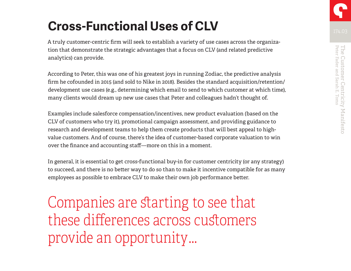## **Cross-Functional Uses of CLV**

A truly customer-centric firm will seek to establish a variety of use cases across the organization that demonstrate the strategic advantages that a focus on CLV (and related predictive analytics) can provide.

According to Peter, this was one of his greatest joys in running Zodiac, the predictive analysis firm he cofounded in 2015 (and sold to Nike in 2018). Besides the standard acquisition/retention/ development use cases (e.g., determining which email to send to which customer at which time), many clients would dream up new use cases that Peter and colleagues hadn't thought of.

Examples include salesforce compensation/incentives, new product evaluation (based on the CLV of customers who try it), promotional campaign assessment, and providing guidance to research and development teams to help them create products that will best appeal to highvalue customers. And of course, there's the idea of customer-based corporate valuation to win over the finance and accounting staff—more on this in a moment.

In general, it is essential to get cross-functional buy-in for customer centricity (or any strategy) to succeed, and there is no better way to do so than to make it incentive compatible for as many employees as possible to embrace CLV to make their own job performance better.

Companies are starting to see that these differences across customers provide an opportunity …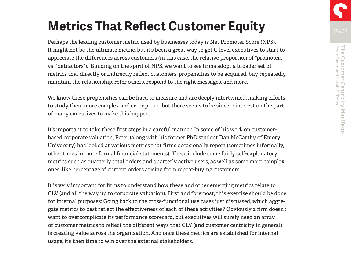## **Metrics That Reflect Customer Equity**

Perhaps the leading customer metric used by businesses today is Net Promoter Score (NPS). It might not be the ultimate metric, but it's been a great way to get C-level executives to start to appreciate the differences across customers (in this case, the relative proportion of "promoters" vs. "detractors"). Building on the spirit of NPS, we want to see firms adopt a broader set of metrics that directly or indirectly reflect customers' propensities to be acquired, buy repeatedly, maintain the relationship, refer others, respond to the right messages, and more.

We know these propensities can be hard to measure and are deeply intertwined, making efforts to study them more complex and error prone, but there seems to be sincere interest on the part of many executives to make this happen.

It's important to take these first steps in a careful manner. In some of his work on customerbased corporate valuation, Peter (along with his former PhD student Dan McCarthy of Emory University) has looked at various metrics that firms occasionally report (sometimes informally, other times in more formal financial statements). These include some fairly self-explanatory metrics such as quarterly total orders and quarterly active users, as well as some more complex ones, like percentage of current orders arising from repeat-buying customers.

It is very important for firms to understand how these and other emerging metrics relate to CLV (and all the way up to corporate valuation). First and foremost, this exercise should be done for internal purposes: Going back to the cross-functional use cases just discussed, which aggregate metrics to best reflect the effectiveness of each of these activities? Obviously a firm doesn't want to overcomplicate its performance scorecard, but executives will surely need an array of customer metrics to reflect the different ways that CLV (and customer centricity in general) is creating value across the organization. And once these metrics are established for internal usage, it's then time to win over the external stakeholders.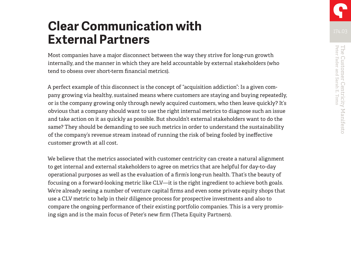# The Customer Centricity Manifesto<br>Peter Fader and Sarah E. Toms Peter Fader and Sarah E. Toms The Customer Centricity Manifesto

### **Clear Communication with External Partners**

Most companies have a major disconnect between the way they strive for long-run growth internally, and the manner in which they are held accountable by external stakeholders (who tend to obsess over short-term financial metrics).

A perfect example of this disconnect is the concept of "acquisition addiction": Is a given company growing via healthy, sustained means where customers are staying and buying repeatedly, or is the company growing only through newly acquired customers, who then leave quickly? It's obvious that a company should want to use the right internal metrics to diagnose such an issue and take action on it as quickly as possible. But shouldn't external stakeholders want to do the same? They should be demanding to see such metrics in order to understand the sustainability of the company's revenue stream instead of running the risk of being fooled by ineffective customer growth at all cost.

We believe that the metrics associated with customer centricity can create a natural alignment to get internal and external stakeholders to agree on metrics that are helpful for day-to-day operational purposes as well as the evaluation of a firm's long-run health. That's the beauty of focusing on a forward-looking metric like CLV—it is the right ingredient to achieve both goals. We're already seeing a number of venture capital firms and even some private equity shops that use a CLV metric to help in their diligence process for prospective investments and also to compare the ongoing performance of their existing portfolio companies. This is a very promising sign and is the main focus of Peter's new firm (Theta Equity Partners).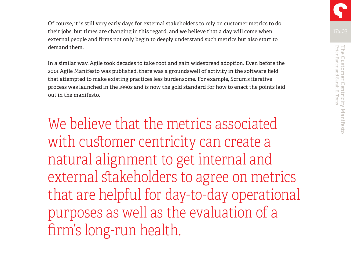Of course, it is still very early days for external stakeholders to rely on customer metrics to do their jobs, but times are changing in this regard, and we believe that a day will come when external people and firms not only begin to deeply understand such metrics but also start to demand them.

In a similar way, Agile took decades to take root and gain widespread adoption. Even before the 2001 Agile Manifesto was published, there was a groundswell of activity in the software field that attempted to make existing practices less burdensome. For example, Scrum's iterative process was launched in the 1990s and is now the gold standard for how to enact the points laid out in the manifesto.

We believe that the metrics associated with customer centricity can create a natural alignment to get internal and external stakeholders to agree on metrics that are helpful for day-to-day operational purposes as well as the evaluation of a firm's long-run health.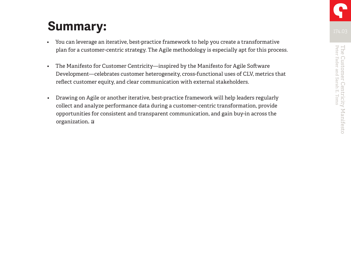## **Summary:**

- You can leverage an iterative, best-practice framework to help you create a transformative plan for a customer-centric strategy. The Agile methodology is especially apt for this process.
- The Manifesto for Customer Centricity—inspired by the Manifesto for Agile Software Development—celebrates customer heterogeneity, cross-functional uses of CLV, metrics that reflect customer equity, and clear communication with external stakeholders.
- Drawing on Agile or another iterative, best-practice framework will help leaders regularly collect and analyze performance data during a customer-centric transformation, provide opportunities for consistent and transparent communication, and gain buy-in across the organization**.**